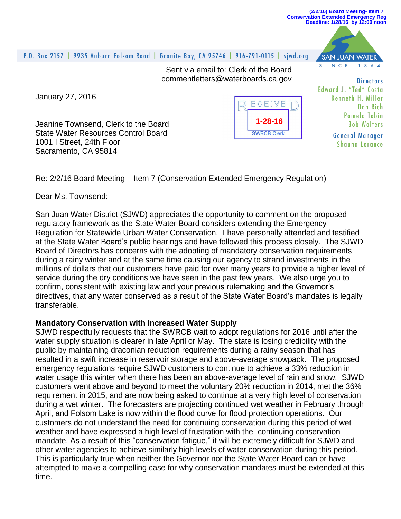

## P.O. Box 2157 | 9935 Auburn Folsom Road | Granite Bay, CA 95746 | 916-791-0115 | siwd.org SAN JUAN WATER SINCE  $1.8.5A$ Sent via email to: Clerk of the Board commentletters@waterboards.ca.gov **Directors** Edward J. "Ted" Costa January 27, 2016 Kenneth H. Miller ECEIVE Dan Rich Pamela Tobin **1-28-16**Jeanine Townsend, Clerk to the Board **Bob Walters** State Water Resources Control Board **SWRCB Clerk General Manager** 1001 I Street, 24th Floor **Shauna Lorance** Sacramento, CA 95814 Re: 2/2/16 Board Meeting – Item 7 (Conservation Extended Emergency Regulation)

Dear Ms. Townsend:

San Juan Water District (SJWD) appreciates the opportunity to comment on the proposed regulatory framework as the State Water Board considers extending the Emergency Regulation for Statewide Urban Water Conservation. I have personally attended and testified at the State Water Board's public hearings and have followed this process closely. The SJWD Board of Directors has concerns with the adopting of mandatory conservation requirements during a rainy winter and at the same time causing our agency to strand investments in the millions of dollars that our customers have paid for over many years to provide a higher level of service during the dry conditions we have seen in the past few years. We also urge you to confirm, consistent with existing law and your previous rulemaking and the Governor's directives, that any water conserved as a result of the State Water Board's mandates is legally transferable.

## **Mandatory Conservation with Increased Water Supply**

SJWD respectfully requests that the SWRCB wait to adopt regulations for 2016 until after the water supply situation is clearer in late April or May. The state is losing credibility with the public by maintaining draconian reduction requirements during a rainy season that has resulted in a swift increase in reservoir storage and above-average snowpack. The proposed emergency regulations require SJWD customers to continue to achieve a 33% reduction in water usage this winter when there has been an above-average level of rain and snow. SJWD customers went above and beyond to meet the voluntary 20% reduction in 2014, met the 36% requirement in 2015, and are now being asked to continue at a very high level of conservation during a wet winter. The forecasters are projecting continued wet weather in February through April, and Folsom Lake is now within the flood curve for flood protection operations. Our customers do not understand the need for continuing conservation during this period of wet weather and have expressed a high level of frustration with the continuing conservation mandate. As a result of this "conservation fatigue," it will be extremely difficult for SJWD and other water agencies to achieve similarly high levels of water conservation during this period. This is particularly true when neither the Governor nor the State Water Board can or have attempted to make a compelling case for why conservation mandates must be extended at this time.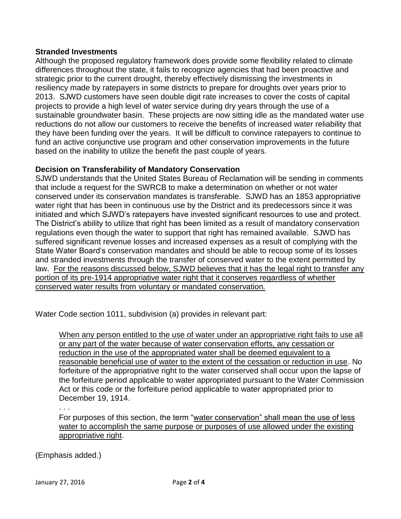## **Stranded Investments**

Although the proposed regulatory framework does provide some flexibility related to climate differences throughout the state, it fails to recognize agencies that had been proactive and strategic prior to the current drought, thereby effectively dismissing the investments in resiliency made by ratepayers in some districts to prepare for droughts over years prior to 2013. SJWD customers have seen double digit rate increases to cover the costs of capital projects to provide a high level of water service during dry years through the use of a sustainable groundwater basin. These projects are now sitting idle as the mandated water use reductions do not allow our customers to receive the benefits of increased water reliability that they have been funding over the years. It will be difficult to convince ratepayers to continue to fund an active conjunctive use program and other conservation improvements in the future based on the inability to utilize the benefit the past couple of years.

## **Decision on Transferability of Mandatory Conservation**

SJWD understands that the United States Bureau of Reclamation will be sending in comments that include a request for the SWRCB to make a determination on whether or not water conserved under its conservation mandates is transferable. SJWD has an 1853 appropriative water right that has been in continuous use by the District and its predecessors since it was initiated and which SJWD's ratepayers have invested significant resources to use and protect. The District's ability to utilize that right has been limited as a result of mandatory conservation regulations even though the water to support that right has remained available. SJWD has suffered significant revenue losses and increased expenses as a result of complying with the State Water Board's conservation mandates and should be able to recoup some of its losses and stranded investments through the transfer of conserved water to the extent permitted by law. For the reasons discussed below, SJWD believes that it has the legal right to transfer any portion of its pre-1914 appropriative water right that it conserves regardless of whether conserved water results from voluntary or mandated conservation*.*

Water Code section 1011, subdivision (a) provides in relevant part:

When any person entitled to the use of water under an appropriative right fails to use all or any part of the water because of water conservation efforts, any cessation or reduction in the use of the appropriated water shall be deemed equivalent to a reasonable beneficial use of water to the extent of the cessation or reduction in use. No forfeiture of the appropriative right to the water conserved shall occur upon the lapse of the forfeiture period applicable to water appropriated pursuant to the Water Commission Act or this code or the forfeiture period applicable to water appropriated prior to December 19, 1914.

. . .

For purposes of this section, the term "water conservation" shall mean the use of less water to accomplish the same purpose or purposes of use allowed under the existing appropriative right.

(Emphasis added.)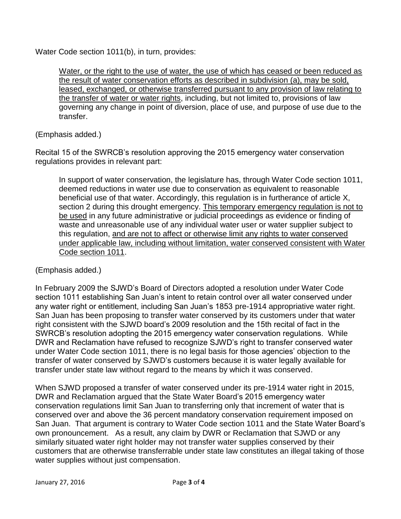Water Code section 1011(b), in turn, provides:

Water, or the right to the use of water, the use of which has ceased or been reduced as the result of water conservation efforts as described in subdivision (a), may be sold, leased, exchanged, or otherwise transferred pursuant to any provision of law relating to the transfer of water or water rights, including, but not limited to, provisions of law governing any change in point of diversion, place of use, and purpose of use due to the transfer.

(Emphasis added.)

Recital 15 of the SWRCB's resolution approving the 2015 emergency water conservation regulations provides in relevant part:

In support of water conservation, the legislature has, through Water Code section 1011, deemed reductions in water use due to conservation as equivalent to reasonable beneficial use of that water. Accordingly, this regulation is in furtherance of article X, section 2 during this drought emergency. This temporary emergency regulation is not to be used in any future administrative or judicial proceedings as evidence or finding of waste and unreasonable use of any individual water user or water supplier subject to this regulation, and are not to affect or otherwise limit any rights to water conserved under applicable law, including without limitation, water conserved consistent with Water Code section 1011.

(Emphasis added.)

In February 2009 the SJWD's Board of Directors adopted a resolution under Water Code section 1011 establishing San Juan's intent to retain control over all water conserved under any water right or entitlement, including San Juan's 1853 pre-1914 appropriative water right. San Juan has been proposing to transfer water conserved by its customers under that water right consistent with the SJWD board's 2009 resolution and the 15th recital of fact in the SWRCB's resolution adopting the 2015 emergency water conservation regulations. While DWR and Reclamation have refused to recognize SJWD's right to transfer conserved water under Water Code section 1011, there is no legal basis for those agencies' objection to the transfer of water conserved by SJWD's customers because it is water legally available for transfer under state law without regard to the means by which it was conserved.

When SJWD proposed a transfer of water conserved under its pre-1914 water right in 2015, DWR and Reclamation argued that the State Water Board's 2015 emergency water conservation regulations limit San Juan to transferring only that increment of water that is conserved over and above the 36 percent mandatory conservation requirement imposed on San Juan. That argument is contrary to Water Code section 1011 and the State Water Board's own pronouncement. As a result, any claim by DWR or Reclamation that SJWD or any similarly situated water right holder may not transfer water supplies conserved by their customers that are otherwise transferrable under state law constitutes an illegal taking of those water supplies without just compensation.